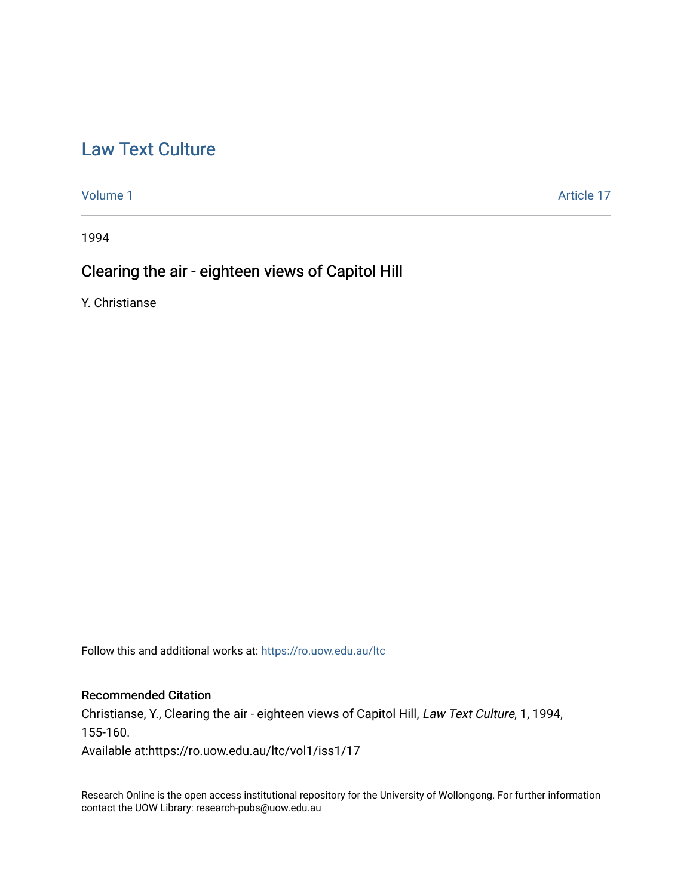# [Law Text Culture](https://ro.uow.edu.au/ltc)

[Volume 1](https://ro.uow.edu.au/ltc/vol1) Article 17

1994

## Clearing the air - eighteen views of Capitol Hill

Y. Christianse

Follow this and additional works at: [https://ro.uow.edu.au/ltc](https://ro.uow.edu.au/ltc?utm_source=ro.uow.edu.au%2Fltc%2Fvol1%2Fiss1%2F17&utm_medium=PDF&utm_campaign=PDFCoverPages) 

#### Recommended Citation

Christianse, Y., Clearing the air - eighteen views of Capitol Hill, Law Text Culture, 1, 1994, 155-160.

Available at:https://ro.uow.edu.au/ltc/vol1/iss1/17

Research Online is the open access institutional repository for the University of Wollongong. For further information contact the UOW Library: research-pubs@uow.edu.au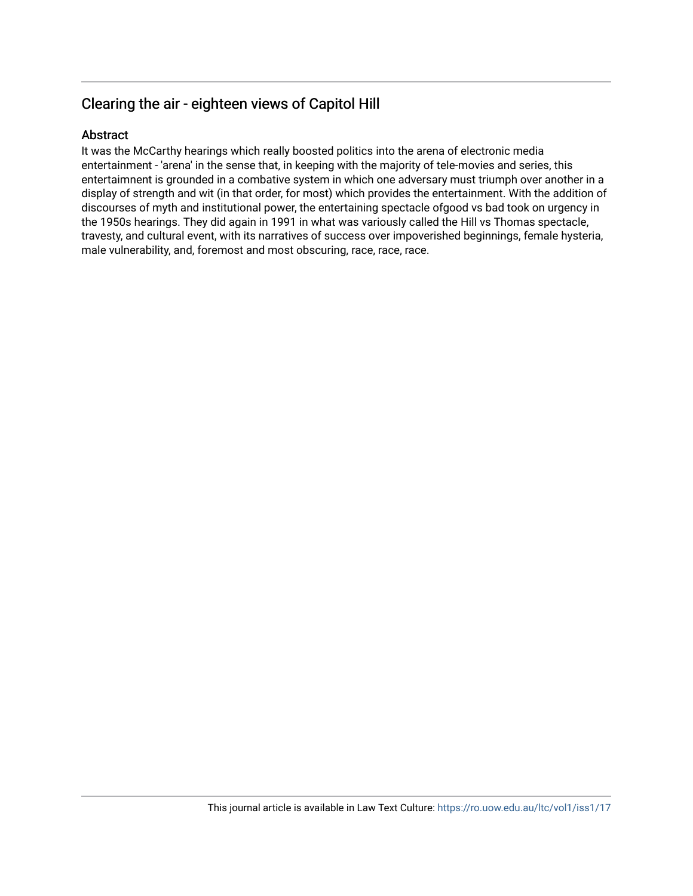## Clearing the air - eighteen views of Capitol Hill

### Abstract

It was the McCarthy hearings which really boosted politics into the arena of electronic media entertainment - 'arena' in the sense that, in keeping with the majority of tele-movies and series, this entertaimnent is grounded in a combative system in which one adversary must triumph over another in a display of strength and wit (in that order, for most) which provides the entertainment. With the addition of discourses of myth and institutional power, the entertaining spectacle ofgood vs bad took on urgency in the 1950s hearings. They did again in 1991 in what was variously called the Hill vs Thomas spectacle, travesty, and cultural event, with its narratives of success over impoverished beginnings, female hysteria, male vulnerability, and, foremost and most obscuring, race, race, race.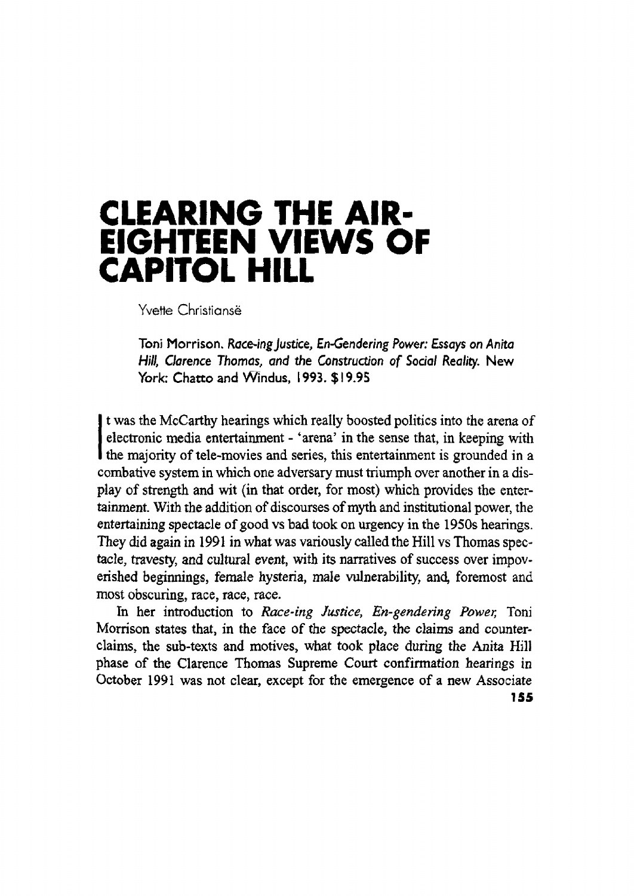# **CLEARING THE AIR· EIGHTEEN VIEWS OF CAPITOL HILL**

Yvette Christiansë

Toni Morrison. *Race-ingjustice, £n-Gendering Power: Essays* on *Anita Hill, Clarence Thomas, and* the *Construction* of *Sodal Reality.* New York: Chatto and Windus, 1993. \$19.95

t was the McCarthy hearings which really boosted politics into the arena of<br>electronic media entertainment - 'arena' in the sense that, in keeping with<br>the majority of tele-movies and series, this entertainment is grounded t was the McCarthy hearings which really boosted politics into the arena of electronic media entertainment - 'arena' in the sense that, in keeping with combative system in which one adversary must triumph over another in a display of strength and wit (in that order, for most) which provides the entertainment. With the addition of discourses ofmyth and institutional power, the entertaining spectacle of good vs bad took on urgency in the 1950s hearings. They did again in 1991 in what was variously called the Hill vs Thomas spec~ tacle, travesty, and cultural event, with its narratives of success over impov~ erished beginnings, female hysteria, male vulnerability, and, foremost and most obscuring, race, race, race.

In her introduction to *Race-ing Justice, En-gendering Power,* Toni Morrison states that, in the face of the spectacle, the claims and counterclaims, the sub-texts and motives, what took place during the Anita Hill phase of the Clarence Thomas Supreme Court confirmation hearings in October 1991 was not clear, except for the emergence of a new Associate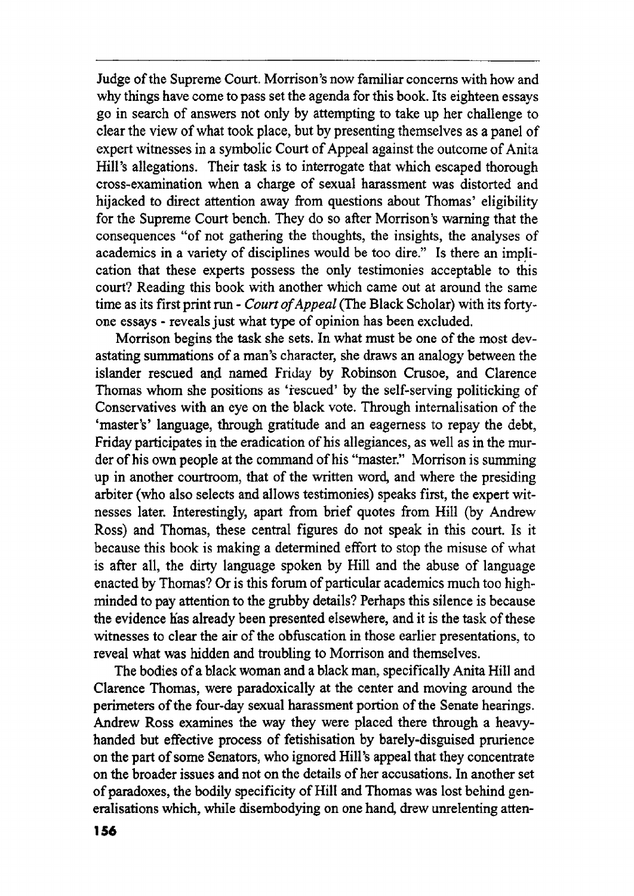Judge of the Supreme Court. Morrison's now familiar concerns with how and why things have come to pass set the agenda for this book. Its eighteen essays go in search of answers not only by attempting to take up her challenge to clear the view of what took place, but by presenting themselves as a panel of expert witnesses in a symbolic Court of Appeal against the outcome of Anita Hill's allegations. Their task is to interrogate that which escaped thorough cross-examination when a charge of sexual harassment was distorted and hijacked to direct attention away from questions about Thomas' eligibility for the Supreme Court bench. They do so after Morrison's warning that the consequences "of not gathering the thoughts, the insights, the analyses of academics in a variety of disciplines would be too dire." Is there an implication that these experts possess the only testimonies acceptable to this court? Reading this book with another which came out at around the same time as its first print run - *Court of Appeal* (The Black Scholar) with its fortyone essays - reveals just what type of opinion has been excluded.

Morrison begins the task she sets. In what must be one of the most devastating summations of a man's character, she draws an analogy between the islander rescued and named Friday by Robinson Crusoe, and Clarence Thomas whom she positions as 'rescued' by the self-serving politicking of Conservatives with an eye on the black vote. Through internalisation of the 'master's' language, through gratitude and an eagerness to repay the debt, Friday participates in the eradication of his allegiances, as well as in the murder of his own people at the command of his "master." Morrison is summing up in another courtroom, that of the written word, and where the presiding arbiter (who also selects and allows testimonies) speaks first, the expert witnesses later. Interestingly, apart from brief quotes from Hill (by Andrew Ross) and Thomas, these central figures do not speak in this court. Is it because this book is making a determined effort to stop the misuse of what is after all, the dirty language spoken by Hill and the abuse of language enacted by Thomas? Or is this forum of particular academics much too highminded to pay attention to the grubby details? Perhaps this silence is because the evidence has already been presented elsewhere, and it is the task of these witnesses to clear the air of the obfuscation in those earlier presentations, to reveal what was hidden and troubling to Morrison and themselves.

The bodies of a black woman and a black man, specifically Anita Hill and Clarence Thomas, were paradoxically at the center and moving around the perimeters of the four-day sexual harassment portion of the Senate hearings. Andrew Ross examines the way they were placed there through a heavyhanded but effective process of fetishisation by barely-disguised prurience on the part of some Senators, who ignored Hill's appeal that they concentrate on the broader issues and not on the details of her accusations. In another set of paradoxes, the bodily specificity of Hill and Thomas was lost behind generalisations which, while disembodying on one hand, drew unrelenting atten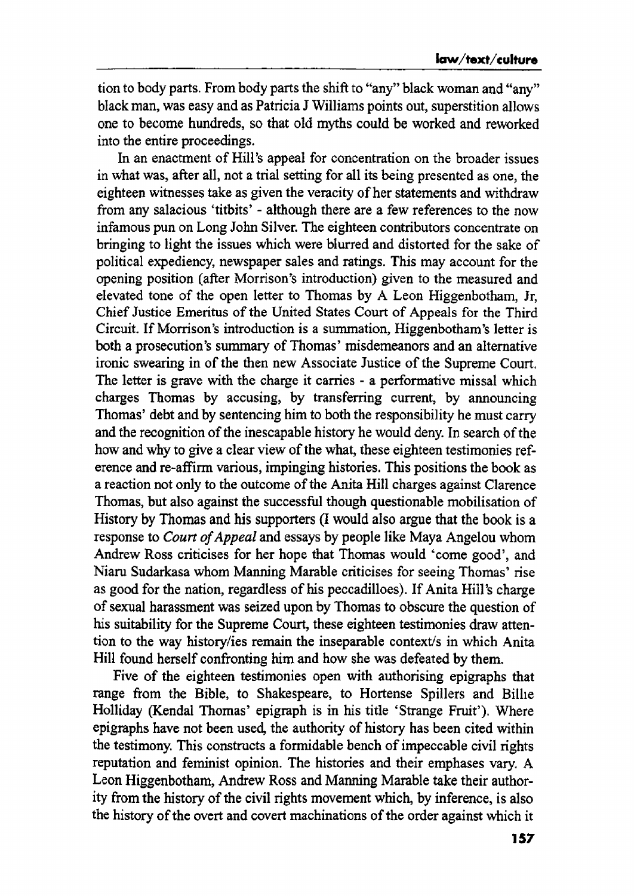tion to body parts. From body parts the shift to "any" black woman and "any" black man, was easy and as Patricia J Williams points out, superstition allows one to become hundreds, so that old myths could be worked and reworked into the entire proceedings.

In an enactment of Hill's appeal for concentration on the broader issues in what was, after all, not a trial setting for all its being presented as one, the eighteen witnesses take as given the veracity of her statements and withdraw from any salacious 'titbits' - although there are a few references to the now infamous pun on Long John Silver. The eighteen contributors concentrate on bringing to light the issues which were blurred and distorted for the sake of political expediency, newspaper sales and ratings. This may account for the opening position (after Morrison's introduction) given to the measured and elevated tone of the open letter to Thomas by A Leon Higgenbotham, If, Chief Justice Emeritus of the United States Court of Appeals for the Third Circuit. If Morrison's introduction is a summation, Higgenbotham's letter is both a prosecution's summary of Thomas' misdemeanors and an alternative ironic swearing in of the then new Associate Justice of the Supreme Court, The letter is grave with the charge it carries - a performative missal which charges Thomas by accusing, by transferring current, by announcing Thomas' debt and by sentencing him to both the responsibility he must carry and the recognition of the inescapable history he would deny. In search of the how and why to give a clear view of the what, these eighteen testimonies reference and re-affirm various, impinging histories. This positions the book as a reaction not only to the outcome of the Anita Hill charges against Clarence Thomas, but also against the successful though questionable mobilisation of History by Thomas and his supporters (I would also argue that the book is a response to *Court of Appeal* and essays by people like Maya Angelou whom Andrew Ross criticises for her hope that Thomas would 'come good', and Niaru Sudarkasa whom Manning Marable criticises for seeing Thomas' rise as good for the nation, regardless of his peccadilloes). If Anita Hill's charge of sexual harassment was seized upon by Thomas to obscure the question of his suitability for the Supreme Court, these eighteen testimonies draw attention to the way history/ies remain the inseparable context/s in which Anita Hill found herself confronting him and how she was defeated by them.

Five of the eighteen testimonies open with authorising epigraphs that range from the Bible, to Shakespeare, to Hortense Spillers and Bilhe Holliday (Kendal Thomas' epigraph is in his title 'Strange Fruit'). Where epigraphs have not been used, the authority of history has been cited within the testimony. This constructs a formidable bench of impeccable civil rights reputation and feminist opinion. The histories and their emphases vary. A Leon Higgenbotham, Andrew Ross and Manning Marable take their authority from the history of the civil rights movement which, by inference, is also the history of the overt and covert machinations of the order against which it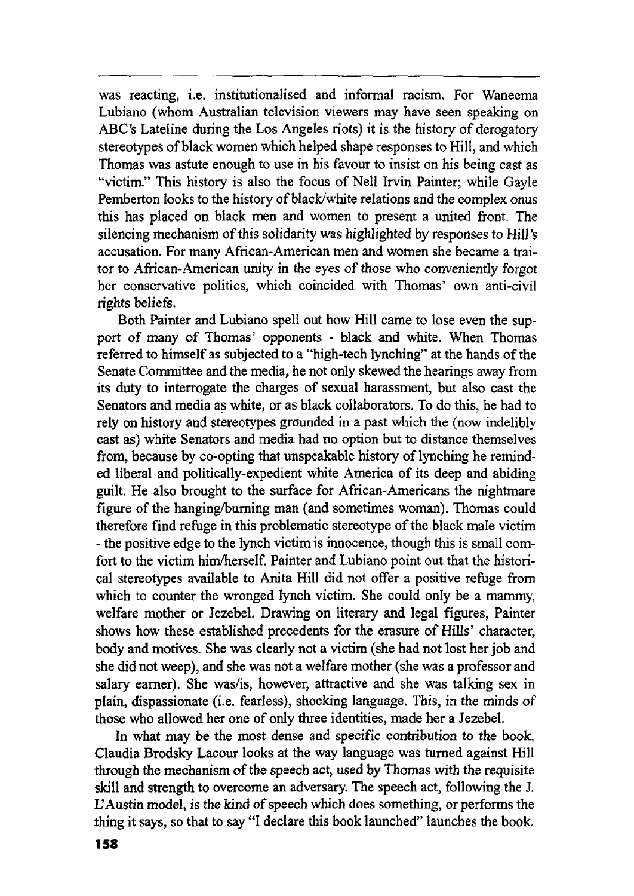was reacting, i.e. institutionalised and informal racism. For Waneema Lubiano (whom Australian television viewers may have seen speaking on ABC's Lateline during the Los Angeles riots) it is the history of derogatory stereotypes of black women which helped shape responses to Hill, and which Thomas was astute enough to use in his favour to insist on his being cast as "victim." This history is also the focus of Nell Irvin Painter; while Gayle Pemberton looks to the history of black/white relations and the complex onus this has placed on black men and women to present a united front. The silencing mechanism of this solidarity was highlighted by responses to Hill's accusation. For many African-American men and women she became a traitor to African-American unity in the eyes of those who conveniently forgot her conservative politics, which coincided with Thomas' own anti-civil rights beliefs.

Both Painter and Lubiano spell out how Hill came to lose even the support of many of Thomas' opponents - black and white. When Thomas referred to himself as subjected to a "high-tech lynching" at the hands of the Senate Committee and the media, he not only skewed the hearings away from its duty to interrogate the charges of sexual harassment, but also cast the Senators and media as white, or as black collaborators. To do this, he had to rely on history and stereotypes grounded in a past which the (now indelibly cast as) white Senators and media had no option but to distance themselves from, because by co-opting that unspeakable history of lynching he reminded liberal and politically-expedient white America of its deep and abiding guilt. He also brought to the surface for African-Americans the nightmare figure of the hanging/burning man (and sometimes woman). Thomas could therefore find refuge in this problematic stereotype of the black male victim - the positive edge to the lynch victimis irmocence, though this is small comfort to the victim him/herself. Painter and Lubiano point out that the historical stereotypes available to Anita Hill did not offer a positive refuge from which to counter the wronged lynch victim. She could only be a mammy, welfare mother or Jezebel. Drawing on literary and legal figures, Painter shows how these established precedents for the erasure of Hills' character, body and motives. She was clearly not a victim (she had not lost her job and she did not weep), and she was not a welfare mother (she was a professor and salary earner). She was/is, however, attractive and she was talking sex in plain, dispassionate (i.e. fearless), shocking language. This, in the minds of those who allowed her one of only three identities, made her a Jezebel.

In what may be the most dense and specific contribution to the book, Claudia Brodsky Lacour looks at the way language was turned against Hill through the mechanism of the speech act, used by Thomas with the requisite skill and strength to overcome an adversary. The speech act, following the 1. L'Austin model, is the kind of speech which does something, or performs the thing it says, so that to say "I declare this book launched" launches the book.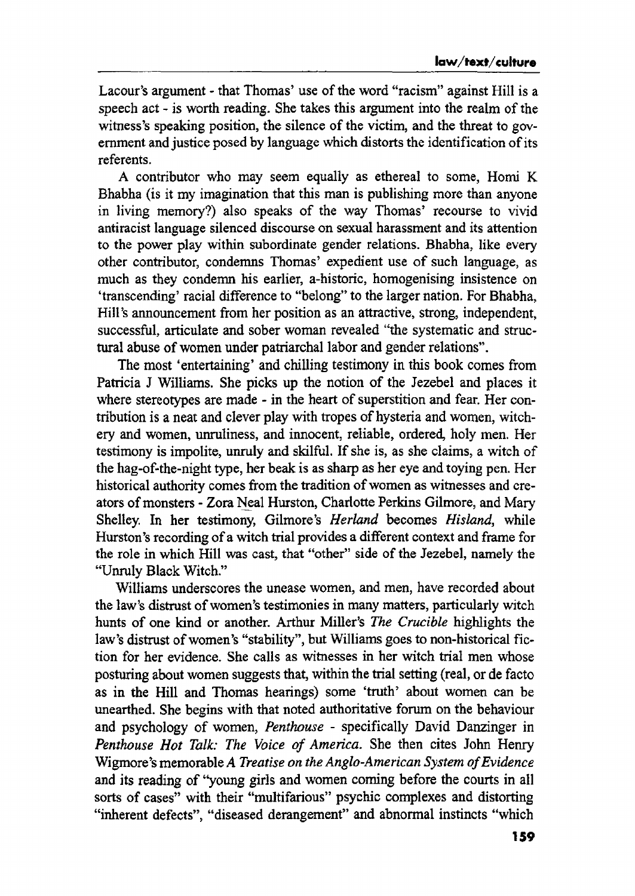Lacour's argument - that Thomas' use of the word "racism" against Hill is a speech act - is worth reading. She takes this argument into the realm of the witness's speaking position, the silence of the victim, and the threat to government and justice posed by language which distorts the identification of its referents.

A contributor who may seem equally as ethereal to some, Homi K Bhabha (is it my imagination that this man is publishing more than anyone in living memory?) also speaks of the way Thomas' recourse to vivid antiracist language silenced discourse on sexual harassment and its attention to the power play within subordinate gender relations. Bhabha, like every other contributor, condemns Thomas' expedient use of such language, as much as they condemn his earlier, a-historic, homogenising insistence on 'transcending' racial difference to "belong" to the larger nation. For Bhabha, Hill's announcement from her position as an attractive, strong, independent, successful, articulate and sober woman revealed "the systematic and structural abuse of women under patriarchal labor and gender relations".

The most 'entertaining' and chilling testimony in this book comes from Patricia J Williams. She picks up the notion of the Jezebel and places it where stereotypes are made - in the heart of superstition and fear. Her contribution is a neat and clever play with tropes of hysteria and women, witchery and women, unruliness, and innocent, reliable, ordered, holy men. Her testimony is impolite, unruly and skilful. If she is, as she claims, a witch of the hag-of-the-night type, her beak is as sharp as her eye and toying pen. Her historical authority comes from the tradition of women as witnesses and creators of monsters - Zora Neal Hurston, Charlotte Perkins Gilmore, and Mary Shelley. In her testimony, Gilmore's *Herland* becomes *Hisland,* while Hurston's recording of a witch trial provides a different context and frame for the role in which Hill was cast, that "other" side ofthe Jezebel, namely the "Unruly Black Witch."

Williams underscores the unease women, and men, have recorded about the law's distrust of women's testimonies in many matters, particularly witch hunts of one kind or another. Arthur Miller's *The Crucible* highlights the law's distrust of women's "stability", but Williams goes to non-historical fiction for her evidence. She calls as witnesses in her witch trial men whose posturing about women suggests that, within the trial setting (real, or de facto as in the Hill and Thomas hearings) some 'truth' about women can be unearthed. She begins with that noted authoritative forum on the behaviour and psychology of women, *Penthouse* - specifically David Danzinger in *Penthouse Hot Talk: The Voice of America.* She then cites John Henry Wigmore's memorable *A Treatise on the Anglo-American System ofEvidence* and its reading of "young girls and women corning before the courts in all sorts of cases" with their "multifarious" psychic complexes and distorting "inherent defects", "diseased derangement" and abnormal instincts "which